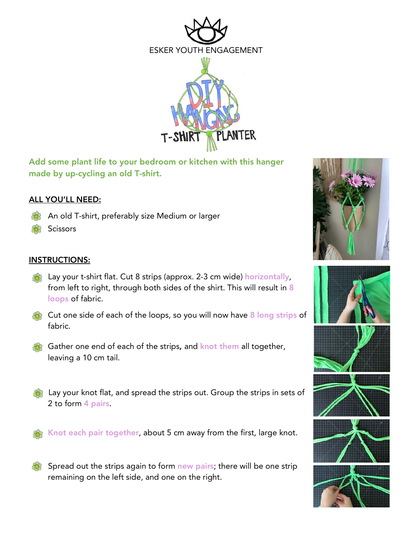

Add some plant life to your bedroom or kitchen with this hanger made by up-cycling an old T-shirt.

## ALL YOU'LL NEED:

- An old T-shirt, preferably size Medium or larger
- **Scissors**

## INSTRUCTIONS:

- **Example 13 Lay your t-shirt flat. Cut 8 strips (approx. 2-3 cm wide) horizontally,** from left to right, through both sides of the shirt. This will result in 8 loops of fabric.
- Cut one side of each of the loops, so you will now have 8 long strips of fabric.
- Gather one end of each of the strips, and knot them all together, leaving a 10 cm tail.
- Lay your knot flat, and spread the strips out. Group the strips in sets of 2 to form 4 pairs.

Knot each pair together, about 5 cm away from the first, large knot.

Spread out the strips again to form new pairs; there will be one strip remaining on the left side, and one on the right.